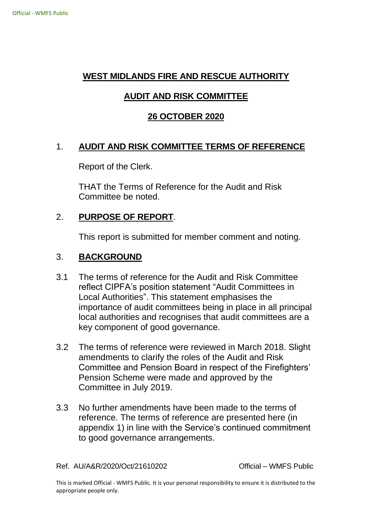## **WEST MIDLANDS FIRE AND RESCUE AUTHORITY**

# **AUDIT AND RISK COMMITTEE**

## **26 OCTOBER 2020**

## 1. **AUDIT AND RISK COMMITTEE TERMS OF REFERENCE**

Report of the Clerk.

THAT the Terms of Reference for the Audit and Risk Committee be noted.

#### 2. **PURPOSE OF REPORT**.

This report is submitted for member comment and noting.

#### 3. **BACKGROUND**

- 3.1 The terms of reference for the Audit and Risk Committee reflect CIPFA's position statement "Audit Committees in Local Authorities". This statement emphasises the importance of audit committees being in place in all principal local authorities and recognises that audit committees are a key component of good governance.
- 3.2 The terms of reference were reviewed in March 2018. Slight amendments to clarify the roles of the Audit and Risk Committee and Pension Board in respect of the Firefighters' Pension Scheme were made and approved by the Committee in July 2019.
- 3.3 No further amendments have been made to the terms of reference. The terms of reference are presented here (in appendix 1) in line with the Service's continued commitment to good governance arrangements.

Ref. AU/A&R/2020/Oct/21610202 Official – WMFS Public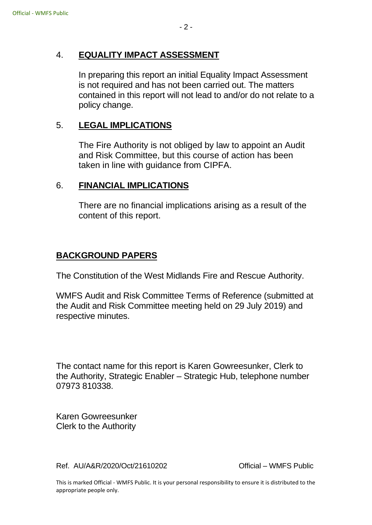### 4. **EQUALITY IMPACT ASSESSMENT**

In preparing this report an initial Equality Impact Assessment is not required and has not been carried out. The matters contained in this report will not lead to and/or do not relate to a policy change.

## 5. **LEGAL IMPLICATIONS**

The Fire Authority is not obliged by law to appoint an Audit and Risk Committee, but this course of action has been taken in line with guidance from CIPFA.

#### 6. **FINANCIAL IMPLICATIONS**

There are no financial implications arising as a result of the content of this report.

### **BACKGROUND PAPERS**

The Constitution of the West Midlands Fire and Rescue Authority.

WMFS Audit and Risk Committee Terms of Reference (submitted at the Audit and Risk Committee meeting held on 29 July 2019) and respective minutes.

The contact name for this report is Karen Gowreesunker, Clerk to the Authority, Strategic Enabler – Strategic Hub, telephone number 07973 810338.

Karen Gowreesunker Clerk to the Authority

Ref. AU/A&R/2020/Oct/21610202 Official – WMFS Public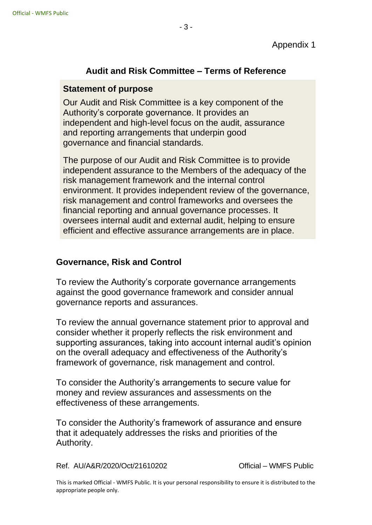## **Audit and Risk Committee – Terms of Reference**

#### **Statement of purpose**

Our Audit and Risk Committee is a key component of the Authority's corporate governance. It provides an independent and high-level focus on the audit, assurance and reporting arrangements that underpin good governance and financial standards.

The purpose of our Audit and Risk Committee is to provide independent assurance to the Members of the adequacy of the risk management framework and the internal control environment. It provides independent review of the governance, risk management and control frameworks and oversees the financial reporting and annual governance processes. It oversees internal audit and external audit, helping to ensure efficient and effective assurance arrangements are in place.

### **Governance, Risk and Control**

To review the Authority's corporate governance arrangements against the good governance framework and consider annual governance reports and assurances.

To review the annual governance statement prior to approval and consider whether it properly reflects the risk environment and supporting assurances, taking into account internal audit's opinion on the overall adequacy and effectiveness of the Authority's framework of governance, risk management and control.

To consider the Authority's arrangements to secure value for money and review assurances and assessments on the effectiveness of these arrangements.

To consider the Authority's framework of assurance and ensure that it adequately addresses the risks and priorities of the Authority.

Ref. AU/A&R/2020/Oct/21610202 Official – WMFS Public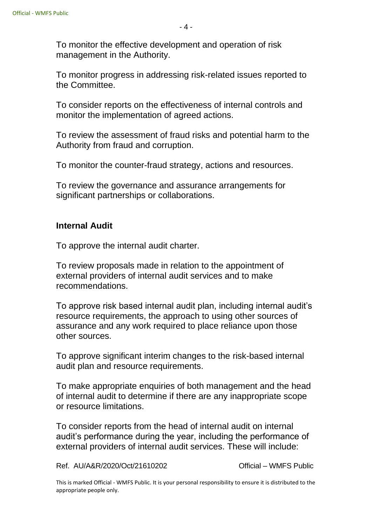To monitor the effective development and operation of risk management in the Authority.

To monitor progress in addressing risk-related issues reported to the Committee.

To consider reports on the effectiveness of internal controls and monitor the implementation of agreed actions.

To review the assessment of fraud risks and potential harm to the Authority from fraud and corruption.

To monitor the counter-fraud strategy, actions and resources.

To review the governance and assurance arrangements for significant partnerships or collaborations.

## **Internal Audit**

To approve the internal audit charter.

To review proposals made in relation to the appointment of external providers of internal audit services and to make recommendations.

To approve risk based internal audit plan, including internal audit's resource requirements, the approach to using other sources of assurance and any work required to place reliance upon those other sources.

To approve significant interim changes to the risk-based internal audit plan and resource requirements.

To make appropriate enquiries of both management and the head of internal audit to determine if there are any inappropriate scope or resource limitations.

To consider reports from the head of internal audit on internal audit's performance during the year, including the performance of external providers of internal audit services. These will include:

Ref. AU/A&R/2020/Oct/21610202 Official – WMFS Public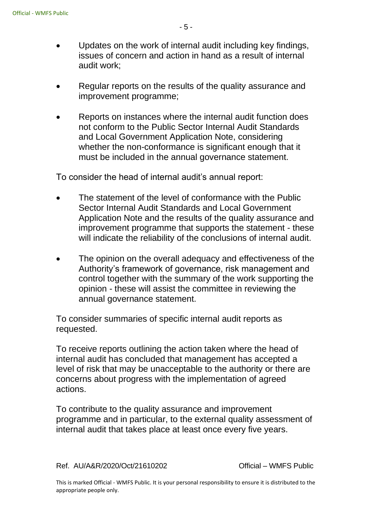- Updates on the work of internal audit including key findings, issues of concern and action in hand as a result of internal audit work;
- Regular reports on the results of the quality assurance and improvement programme;
- Reports on instances where the internal audit function does not conform to the Public Sector Internal Audit Standards and Local Government Application Note, considering whether the non-conformance is significant enough that it must be included in the annual governance statement.

To consider the head of internal audit's annual report:

- The statement of the level of conformance with the Public Sector Internal Audit Standards and Local Government Application Note and the results of the quality assurance and improvement programme that supports the statement - these will indicate the reliability of the conclusions of internal audit.
- The opinion on the overall adequacy and effectiveness of the Authority's framework of governance, risk management and control together with the summary of the work supporting the opinion - these will assist the committee in reviewing the annual governance statement.

To consider summaries of specific internal audit reports as requested.

To receive reports outlining the action taken where the head of internal audit has concluded that management has accepted a level of risk that may be unacceptable to the authority or there are concerns about progress with the implementation of agreed actions.

To contribute to the quality assurance and improvement programme and in particular, to the external quality assessment of internal audit that takes place at least once every five years.

Ref. AU/A&R/2020/Oct/21610202 Official – WMFS Public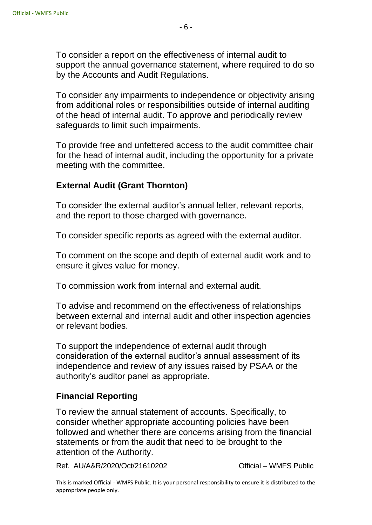To consider a report on the effectiveness of internal audit to support the annual governance statement, where required to do so by the Accounts and Audit Regulations.

To consider any impairments to independence or objectivity arising from additional roles or responsibilities outside of internal auditing of the head of internal audit. To approve and periodically review safeguards to limit such impairments.

To provide free and unfettered access to the audit committee chair for the head of internal audit, including the opportunity for a private meeting with the committee.

### **External Audit (Grant Thornton)**

To consider the external auditor's annual letter, relevant reports, and the report to those charged with governance.

To consider specific reports as agreed with the external auditor.

To comment on the scope and depth of external audit work and to ensure it gives value for money.

To commission work from internal and external audit.

To advise and recommend on the effectiveness of relationships between external and internal audit and other inspection agencies or relevant bodies.

To support the independence of external audit through consideration of the external auditor's annual assessment of its independence and review of any issues raised by PSAA or the authority's auditor panel as appropriate.

### **Financial Reporting**

To review the annual statement of accounts. Specifically, to consider whether appropriate accounting policies have been followed and whether there are concerns arising from the financial statements or from the audit that need to be brought to the attention of the Authority.

Ref. AU/A&R/2020/Oct/21610202 Official – WMFS Public